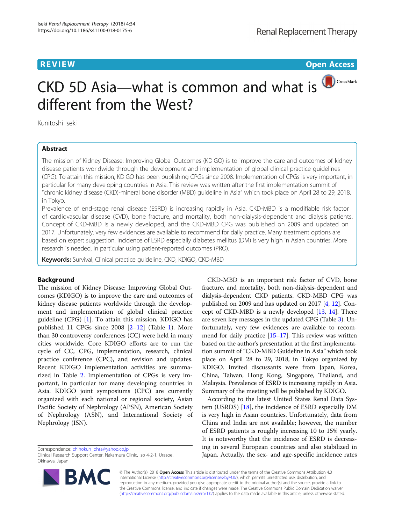**REVIEW CONTROL** CONTROL CONTROL CONTROL CONTROL CONTROL CONTROL CONTROL CONTROL CONTROL CONTROL CONTROL CONTROL CONTROL CONTROL CONTROL CONTROL CONTROL CONTROL CONTROL CONTROL CONTROL CONTROL CONTROL CONTROL CONTROL CONTR

CrossMark

# CKD 5D Asia—what is common and what is different from the West?

Kunitoshi Iseki

# Abstract

The mission of Kidney Disease: Improving Global Outcomes (KDIGO) is to improve the care and outcomes of kidney disease patients worldwide through the development and implementation of global clinical practice guidelines (CPG). To attain this mission, KDIGO has been publishing CPGs since 2008. Implementation of CPGs is very important, in particular for many developing countries in Asia. This review was written after the first implementation summit of "chronic kidney disease (CKD)-mineral bone disorder (MBD) guideline in Asia" which took place on April 28 to 29, 2018, in Tokyo.

Prevalence of end-stage renal disease (ESRD) is increasing rapidly in Asia. CKD-MBD is a modifiable risk factor of cardiovascular disease (CVD), bone fracture, and mortality, both non-dialysis-dependent and dialysis patients. Concept of CKD-MBD is a newly developed, and the CKD-MBD CPG was published on 2009 and updated on 2017. Unfortunately, very few evidences are available to recommend for daily practice. Many treatment options are based on expert suggestion. Incidence of ESRD especially diabetes mellitus (DM) is very high in Asian countries. More research is needed, in particular using patient-reported outcomes (PRO).

Keywords: Survival, Clinical practice guideline, CKD, KDIGO, CKD-MBD

# Background

The mission of Kidney Disease: Improving Global Outcomes (KDIGO) is to improve the care and outcomes of kidney disease patients worldwide through the development and implementation of global clinical practice guideline (CPG) [[1\]](#page-3-0). To attain this mission, KDIGO has published 11 CPGs since 2008 [\[2](#page-3-0)–[12\]](#page-3-0) (Table [1](#page-1-0)). More than 30 controversy conferences (CC) were held in many cities worldwide. Core KDIGO efforts are to run the cycle of CC, CPG, implementation, research, clinical practice conference (CPC), and revision and updates. Recent KDIGO implementation activities are summarized in Table [2.](#page-1-0) Implementation of CPGs is very important, in particular for many developing countries in Asia. KDIGO joint symposiums (CPC) are currently organized with each national or regional society, Asian Pacific Society of Nephrology (APSN), American Society of Nephrology (ASN), and International Society of Nephrology (ISN).

Correspondence: [chihokun\\_ohra@yahoo.co.jp](mailto:chihokun_ohra@yahoo.co.jp)

Clinical Research Support Center, Nakamura Clinic, Iso 4-2-1, Urasoe, Okinawa, Japan



CKD-MBD is an important risk factor of CVD, bone fracture, and mortality, both non-dialysis-dependent and dialysis-dependent CKD patients. CKD-MBD CPG was published on 2009 and has updated on 2017 [\[4](#page-3-0), [12\]](#page-3-0). Concept of CKD-MBD is a newly developed [\[13,](#page-3-0) [14\]](#page-3-0). There are seven key messages in the updated CPG (Table [3\)](#page-1-0). Unfortunately, very few evidences are available to recommend for daily practice [[15](#page-3-0)–[17\]](#page-3-0). This review was written based on the author's presentation at the first implementation summit of "CKD-MBD Guideline in Asia" which took place on April 28 to 29, 2018, in Tokyo organized by KDIGO. Invited discussants were from Japan, Korea, China, Taiwan, Hong Kong, Singapore, Thailand, and Malaysia. Prevalence of ESRD is increasing rapidly in Asia. Summary of the meeting will be published by KDIGO.

According to the latest United States Renal Data System (USRDS) [[18](#page-3-0)], the incidence of ESRD especially DM is very high in Asian countries. Unfortunately, data from China and India are not available; however, the number of ESRD patients is roughly increasing 10 to 15% yearly. It is noteworthy that the incidence of ESRD is decreasing in several European countries and also stabilized in Japan. Actually, the sex- and age-specific incidence rates

© The Author(s). 2018 Open Access This article is distributed under the terms of the Creative Commons Attribution 4.0 International License [\(http://creativecommons.org/licenses/by/4.0/](http://creativecommons.org/licenses/by/4.0/)), which permits unrestricted use, distribution, and reproduction in any medium, provided you give appropriate credit to the original author(s) and the source, provide a link to the Creative Commons license, and indicate if changes were made. The Creative Commons Public Domain Dedication waiver [\(http://creativecommons.org/publicdomain/zero/1.0/](http://creativecommons.org/publicdomain/zero/1.0/)) applies to the data made available in this article, unless otherwise stated.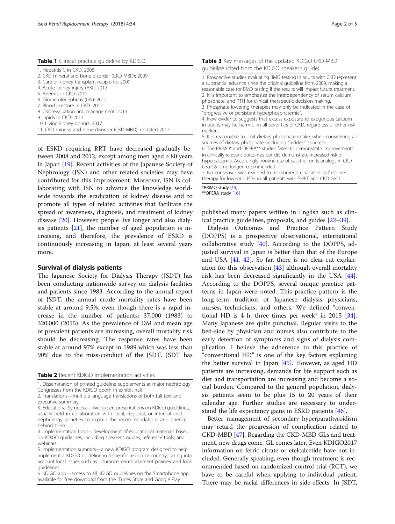<span id="page-1-0"></span>Table 1 Clinical practice guideline by KDIGO

| 1. Hepatitis C in CKD: 2008                               |
|-----------------------------------------------------------|
| 2. CKD mineral and bone disorder (CKD-MBD): 2009          |
| 3. Care of kidney transplant recipients: 2009             |
| 4. Acute kidney injury (AKI): 2012                        |
| 5. Anemia in CKD: 2012                                    |
| 6. Glomerulonephritis (GN): 2012                          |
| 7. Blood pressure in CKD: 2012                            |
| 8. CKD evaluation and management: 2013                    |
| 9. Lipids in CKD: 2013                                    |
| 10. Living kidney donors: 2017                            |
| 11. CKD mineral and bone disorder (CKD-MBD): updated 2017 |
|                                                           |

of ESKD requiring RRT have decreased gradually between 2008 and 2012, except among men aged  $\geq 80$  years in Japan [[19](#page-3-0)]. Recent activities of the Japanese Society of Nephrology (JSN) and other related societies may have contributed for this improvement. Moreover, JSN is collaborating with ISN to advance the knowledge worldwide towards the eradication of kidney disease and to promote all types of related activities that facilitate the spread of awareness, diagnosis, and treatment of kidney disease [\[20\]](#page-3-0). However, people live longer and also dialysis patients  $[21]$  $[21]$ , the number of aged population is increasing, and therefore, the prevalence of ESRD is continuously increasing in Japan, at least several years more.

## Survival of dialysis patients

The Japanese Society for Dialysis Therapy (JSDT) has been conducting nationwide survey on dialysis facilities and patients since 1983. According to the annual report of JSDT, the annual crude mortality rates have been stable at around 9.5%, even though there is a rapid increase in the number of patients: 37,000 (1983) to 320,000 (2015). As the prevalence of DM and mean age of prevalent patients are increasing, overall mortality risk should be decreasing. The response rates have been stable at around 97% except in 1989 which was less than 90% due to the miss-conduct of the JSDT. JSDT has

Table 2 Recent KDIGO implementation activities

| quideline (cited from the KDIGO speaker's quide)                                                                                                                                                                                                                                                                                                                                                                                                                                                                                                                                                                                                             |
|--------------------------------------------------------------------------------------------------------------------------------------------------------------------------------------------------------------------------------------------------------------------------------------------------------------------------------------------------------------------------------------------------------------------------------------------------------------------------------------------------------------------------------------------------------------------------------------------------------------------------------------------------------------|
| 1. Prospective studies evaluating BMD testing in adults with CKD represent<br>a substantial advance since the original quideline from 2009, making a<br>reasonable case for BMD testing if the results will impact future treatment.<br>2. It is important to emphasize the interdependency of serum calcium,<br>phosphate, and PTH for clinical therapeutic decision-making.<br>3. Phosphate-lowering therapies may only be indicated in the case of<br>"progressive or persistent hyperphosphatemia".<br>4. New evidence suggests that excess exposure to exogenous calcium<br>in adults may be harmful in all severities of CKD, regardless of other risk |
| markers.<br>5 It is reasonable to limit dietary phosphate intake when considering all                                                                                                                                                                                                                                                                                                                                                                                                                                                                                                                                                                        |

Table 3 Key messages of the updated KDIGO CKD-MBD

6. The PRIMO\* and OPERA\*\* studies failed to demonstrate improvements in clinically relevant outcomes but did demonstrate increased risk of hypercalcemia. Accordingly, routine use of calcitriol or its analogs in CKD G3a-G5 is no longer recommended.

7. No consensus was reached to recommend cinacalcet as first-line therapy for lowering PTH in all patients with SHPT and CKD G5D.

\*PRIMO study [\[15](#page-3-0)] \*\*OPERA study [[16\]](#page-3-0)

published many papers written in English such as clinical practice guidelines, proposals, and guides [\[22](#page-3-0)–[39\]](#page-3-0).

Dialysis Outcomes and Practice Pattern Study (DOPPS) is a prospective observational, international collaborative study  $[40]$  $[40]$ . According to the DOPPS, adjusted survival in Japan is better than that of the Europe and USA  $[41, 42]$  $[41, 42]$  $[41, 42]$  $[41, 42]$ . So far, there is no clear-cut explanation for this observation [[43](#page-4-0)] although overall mortality risk has been decreased significantly in the USA [\[44](#page-4-0)]. According to the DOPPS, several unique practice patterns in Japan were noted. This practice pattern is the long-term tradition of Japanese dialysis physicians, nurses, technicians, and others. We defined "conventional HD is 4 h, three times per week" in 2015 [\[34](#page-3-0)]. Many Japanese are quite punctual. Regular visits to the bed-side by physician and nurses also contribute to the early detection of symptoms and signs of dialysis complication. I believe the adherence to this practice of "conventional HD" is one of the key factors explaining the better survival in Japan [\[45](#page-4-0)]. However, as aged HD patients are increasing, demands for life support such as diet and transportation are increasing and become a social burden. Compared to the general population, dialysis patients seem to be plus 15 to 20 years of their calendar age. Further studies are necessary to understand the life expectancy gains in ESRD patients [[46](#page-4-0)].

Better management of secondary hyperparathyroidism may retard the progression of complication related to CKD-MBD [\[47\]](#page-4-0). Regarding the CKD-MBD GLs and treatment, new drugs come. GL comes later. Even KDIGO2017 information on ferric citrate or etelcalcetide have not included. Generally speaking, even though treatment is recommended based on randomized control trial (RCT), we have to be careful when applying to individual patient. There may be racial differences in side-effects. In JSDT,

<sup>1.</sup> Dissemination of printed guideline supplements at major nephrology Congresses from the KDIGO booth in exhibit hall

<sup>2.</sup> Translations—multiple language translations of both full text and executive summary

<sup>3.</sup> Educational Symposia—live, expert presentations on KDIGO guidelines, usually held in collaboration with local, regional, or international nephrology societies to explain the recommendations and science behind them

<sup>4.</sup> Implementation tools—development of educational materials based on KDIGO guidelines, including speaker's guides, reference tools, and webinars

<sup>5.</sup> Implementation summits—a new KDIGO program designed to help implement a KDIGO guideline in a specific region or country, taking into account local issues such as insurance, reimbursement policies, and local guidelines

<sup>6.</sup> KDIGO app—access to all KDIGO guidelines on the Smartphone app, available for free download from the iTunes Store and Google Play

<sup>5.</sup> It is reasonable to limit dietary phosphate intake, when considering all sources of dietary phosphate (including "hidden" sources).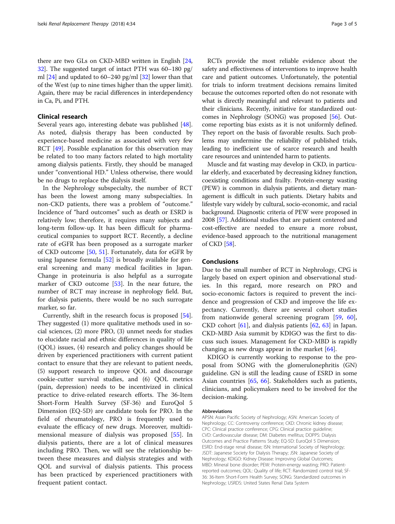there are two GLs on CKD-MBD written in English [[24](#page-3-0), [32](#page-3-0)]. The suggested target of intact PTH was 60–180 pg/ ml [\[24\]](#page-3-0) and updated to 60–240 pg/ml [[32](#page-3-0)] lower than that of the West (up to nine times higher than the upper limit). Again, there may be racial differences in interdependency in Ca, Pi, and PTH.

#### Clinical research

Several years ago, interesting debate was published [\[48](#page-4-0)]. As noted, dialysis therapy has been conducted by experience-based medicine as associated with very few RCT [[49\]](#page-4-0). Possible explanation for this observation may be related to too many factors related to high mortality among dialysis patients. Firstly, they should be managed under "conventional HD." Unless otherwise, there would be no drugs to replace the dialysis itself.

In the Nephrology subspecialty, the number of RCT has been the lowest among many subspecialties. In non-CKD patients, there was a problem of "outcome." Incidence of "hard outcomes" such as death or ESRD is relatively low; therefore, it requires many subjects and long-term follow-up. It has been difficult for pharmaceutical companies to support RCT. Recently, a decline rate of eGFR has been proposed as a surrogate marker of CKD outcome [[50,](#page-4-0) [51\]](#page-4-0). Fortunately, data for eGFR by using Japanese formula [\[52\]](#page-4-0) is broadly available for general screening and many medical facilities in Japan. Change in proteinuria is also helpful as a surrogate marker of CKD outcome [\[53](#page-4-0)]. In the near future, the number of RCT may increase in nephrology field. But, for dialysis patients, there would be no such surrogate marker, so far.

Currently, shift in the research focus is proposed [\[54](#page-4-0)]. They suggested (1) more qualitative methods used in social sciences, (2) more PRO, (3) unmet needs for studies to elucidate racial and ethnic differences in quality of life (QOL) issues, (4) research and policy changes should be driven by experienced practitioners with current patient contact to ensure that they are relevant to patient needs, (5) support research to improve QOL and discourage cookie-cutter survival studies, and (6) QOL metrics (pain, depression) needs to be incentivized in clinical practice to drive-related research efforts. The 36-Item Short-Form Health Survey (SF-36) and EuroQol 5 Dimension (EQ-5D) are candidate tools for PRO. In the field of rheumatology, PRO is frequently used to evaluate the efficacy of new drugs. Moreover, multidimensional measure of dialysis was proposed [[55\]](#page-4-0). In dialysis patients, there are a lot of clinical measures including PRO. Then, we will see the relationship between these measures and dialysis strategies and with QOL and survival of dialysis patients. This process has been practiced by experienced practitioners with frequent patient contact.

RCTs provide the most reliable evidence about the safety and effectiveness of interventions to improve health care and patient outcomes. Unfortunately, the potential for trials to inform treatment decisions remains limited because the outcomes reported often do not resonate with what is directly meaningful and relevant to patients and their clinicians. Recently, initiative for standardized outcomes in Nephrology (SONG) was proposed [\[56\]](#page-4-0). Outcome reporting bias exists as it is not uniformly defined. They report on the basis of favorable results. Such problems may undermine the reliability of published trials, leading to inefficient use of scarce research and health care resources and unintended harm to patients.

Muscle and fat wasting may develop in CKD, in particular elderly, and exacerbated by decreasing kidney function, coexisting conditions and frailty. Protein-energy wasting (PEW) is common in dialysis patients, and dietary management is difficult in such patients. Dietary habits and lifestyle vary widely by cultural, socio-economic, and racial background. Diagnostic criteria of PEW were proposed in 2008 [[57](#page-4-0)]. Additional studies that are patient centered and cost-effective are needed to ensure a more robust, evidence-based approach to the nutritional management of CKD [\[58\]](#page-4-0).

### Conclusions

Due to the small number of RCT in Nephrology, CPG is largely based on expert opinion and observational studies. In this regard, more research on PRO and socio-economic factors is required to prevent the incidence and progression of CKD and improve the life expectancy. Currently, there are several cohort studies from nationwide general screening program [[59](#page-4-0), [60](#page-4-0)], CKD cohort [\[61\]](#page-4-0), and dialysis patients [[62,](#page-4-0) [63\]](#page-4-0) in Japan. CKD-MBD Asia summit by KDIGO was the first to discuss such issues. Management for CKD-MBD is rapidly changing as new drugs appear in the market  $[64]$  $[64]$ .

KDIGO is currently working to response to the proposal from SONG with the glomerulonephritis (GN) guideline. GN is still the leading cause of ESRD in some Asian countries [\[65](#page-4-0), [66](#page-4-0)]. Stakeholders such as patients, clinicians, and policymakers need to be involved for the decision-making.

#### Abbreviations

APSN: Asian Pacific Society of Nephrology; ASN: American Society of Nephrology; CC: Controversy conference; CKD: Chronic kidney disease; CPC: Clinical practice conference; CPG: Clinical practice guideline; CVD: Cardiovascular disease; DM: Diabetes mellitus; DOPPS: Dialysis Outcomes and Practice Patterns Study; EQ-5D: EuroQol 5 Dimension; ESRD: End-stage renal disease; ISN: International Society of Nephrology; JSDT: Japanese Society for Dialysis Therapy; JSN: Japanese Society of Nephrology; KDIGO: Kidney Disease: Improving Global Outcomes; MBD: Mineral bone disorder; PEW: Protein-energy wasting; PRO: Patientreported outcomes; QOL: Quality of life; RCT: Randomized control trial; SF-36: 36-Item Short-Form Health Survey; SONG: Standardized outcomes in Nephrology; USRDS: United States Renal Data System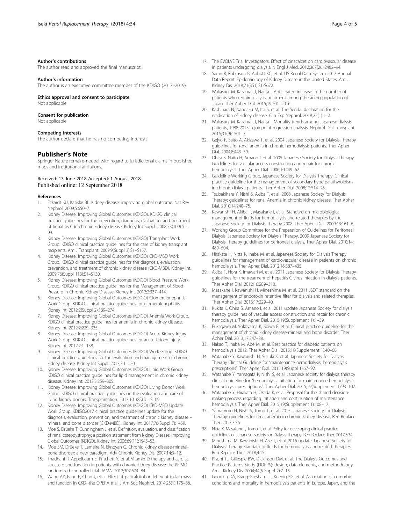#### <span id="page-3-0"></span>Author's contributions

The author read and approved the final manuscript.

#### Author's information

The author is an executive committee member of the KDIGO (2017–2019).

# Ethics approval and consent to participate

Not applicable.

# Consent for publication

Not applicable.

#### Competing interests

The author declare that he has no competing interests.

#### Publisher's Note

Springer Nature remains neutral with regard to jurisdictional claims in published maps and institutional affiliations.

#### Received: 13 June 2018 Accepted: 1 August 2018 Published online: 12 September 2018

#### References

- 1. Eckardt KU, Kasiske BL. Kidney disease: improving global outcome. Nat Rev Nephrol. 2009;5:650–7.
- 2. Kidney Disease: Improving Global Outcomes (KDIGO). KDIGO clinical practice guidelines for the prevention, diagnosis, evaluation, and treatment of hepatitis C in chronic kidney disease. Kidney Int Suppl. 2008;73(109):S1– 99.
- 3. Kidney Disease: Improving Global Outcomes (KDIGO) Transplant Work Group. KDIGO clinical practice guidelines for the care of kidney transplant recipients. Am J Transplant. 2009;9(Suppl 3):S1–S157.
- 4. Kidney Disease: Improving Global Outcomes (KDIGO) CKD-MBD Work Group. KDIGO clinical practice guidelines for the diagnosis, evaluation, prevention, and treatment of chronic kidney disease (CKD-MBD). Kidney Int. 2009;76(Suppl 113):S1–S130.
- 5. Kidney Disease: Improving Global Outcomes (KDIGO) Blood Pressure Work Group. KDIGO clinical practice guidelines for the Management of Blood Pressure in Chronic Kidney Disease. Kidney Int. 2012;2:337–414.
- 6. Kidney Disease: Improving Global Outcomes (KDIGO) Glomerulonephritis Work Group. KDIGO clinical practice guidelines for glomerulonephritis. Kidney Int. 2012;2(Suppl 2):139–274.
- 7. Kidney Disease: Improving Global Outcomes (KDIGO) Anemia Work Group. KDIGO clinical practice guidelines for anemia in chronic kidney disease. Kidney Int. 2012;2:279–335.
- 8. Kidney Disease: Improving Global Outcomes (KDIGO) Acute Kidney Injury Work Group. KDIGO clinical practice guidelines for acute kidney injury. Kidney Int. 2012;2:1–138.
- 9. Kidney Disease: Improving Global Outcomes (KDIGO) Work Group. KDIGO clinical practice guidelines for the evaluation and management of chronic kidney disease. Kidney Int Suppl. 2013;3:1–150.
- 10. Kidney Disease: Improving Global Outcomes (KDIGO) Lipid Work Group. KDIGO clinical practice guidelines for lipid management in chronic kidney disease. Kidney Int. 2013;3:259–305.
- 11. Kidney Disease: Improving Global Outcomes (KDIGO) Living Donor Work Group. KDIGO clinical practice guidelines on the evaluation and care of living kidney donors. Transplantation. 2017;101(8S):S1–S109.
- 12. Kidney Disease: Improving Global Outcomes (KDIGO) CKD-MBD Update Work Group. KDIGO2017 clinical practice guidelines update for the diagnosis, evaluation, prevention, and treatment of chronic kidney disease – mineral and bone disorder (CKD-MBD). Kidney Int. 2017;76(Suppl 7):1–59.
- 13. Moe S, Drüeke T, Cunningham J, et al. Definition, evaluation, and classification of renal osteodystrophy: a position statement from Kidney Disease: Improving Global Outcomes (KDIGO). Kidney Int. 2006;69(11):1945–53.
- 14. Moe SM, Drüeke T, Lameire N, Eknoyan G. Chronic kidney disease-mineralbone disorder: a new paradigm. Adv Chronic Kidney Dis. 2007;14:3–12.
- 15. Thadhani R, Appelbaum E, Pritchett Y, et al. Vitamin D therapy and cardiac structure and function in patients with chronic kidney disease: the PRIMO randomized controlled trial. JAMA. 2012;307:674–84.
- 16. Wang AY, Fang F, Chan J, et al. Effect of paricalcitol on left ventricular mass and function in CKD--the OPERA trial. J Am Soc Nephrol. 2014;25(1):175–86.
- 17. The EVOLVE Trial Investigators. Effect of cinacalcet on cardiovascular disease in patients undergoing dialysis. N Engl J Med. 2012;367(26):2482–94.
- 18. Saran R, Robinson B, Abbott KC, et al. US Renal Data System 2017 Annual Data Report: Epidemiology of Kidney Disease in the United States. Am J Kidney Dis. 2018;71(3S1):S1-S672.
- 19. Wakasugi M, Kazama JJ, Narita I. Anticipated increase in the number of patients who require dialysis treatment among the aging population of Japan. Ther Apher Dial. 2015;19:201–2016.
- 20. Kashihara N, Nangaku M, Ito S, et al. The Sendai declaration for the eradication of kidney disease. Clin Exp Nephrol. 2018;22(1):1–2.
- 21. Wakasugi M, Kazama JJ, Narita I. Mortality trends among Japanese dialysis patients, 1988-2013: a joinpoint regression analysis. Nephrol Dial Transplant. 2016;31(9):1501–7.
- 22. Gejyo F, Saito A, Akizawa T, et al. 2004 Japanese Society for Dialysis Therapy guidelines for renal anemia in chronic hemodialysis patients. Ther Apher Dial. 2004;8:443–59.
- 23. Ohira S, Naito H, Amano I, et al. 2005 Japanese Society for Dialysis Therapy Guidelines for vascular access construction and repair for chronic hemodialysis. Ther Apher Dial. 2006;10:449–62.
- 24. Guideline Working Group, Japanese Society for Dialysis Therapy. Clinical practice guideline for the management of secondary hyperparathyroidism in chronic dialysis patients. Ther Apher Dial. 2008;12:514–25.
- 25. Tsubakihara Y, Nishi S, Akiba T, et al. 2008 Japanese Society for Dialysis Therapy: guidelines for renal Anemia in chronic kidney disease. Ther Apher Dial. 2010;14:240–75.
- 26. Kawanishi H, Akiba T, Masakane I, et al. Standard on microbiological management of fluids for hemodialysis and related therapies by the Japanese Society for Dialysis Therapy 2008. Ther Apher Dial. 2009;13:161–6.
- 27. Working Group Committee for the Preparation of Guidelines for Peritoneal Dialysis, Japanese Society for Dialysis Therapy. 2009 Japanese Society for Dialysis Therapy guidelines for peritoneal dialysis. Ther Apher Dial. 2010;14: 489–504.
- 28. Hirakata H, Nitta K, Inaba M, et al. Japanese Society for Dialysis Therapy guidelines for management of cardiovascular disease in patients on chronic hemodialysis. Ther Apher Dial. 2012;16:387–435.
- 29. Akiba T, Hora K, Imawari M, et al. 2011 Japanese Society for Dialysis Therapy guidelines for the treatment of hepatitis C virus infection in dialysis patients. Ther Apher Dial. 2012;16:289–310.
- 30. Masakane I, Kawanishi H, Mineshima M, et al. 2011 JSDT standard on the management of endotoxin retentive filter for dialysis and related therapies. Ther Apher Dial. 2013;17:229–40.
- 31. Kukita K, Ohira S, Amano I, et al. 2011 update Japanese Society for dialysis therapy guidelines of vascular access construction and repair for chronic hemodialysis. Ther Apher Dial. 2015;19(Supplement 1):1–39.
- 32. Fukagawa M, Yokoyama K, Koiwa F, et al. Clinical practice guideline for the management of chronic kidney disease-mineral and bone disorder. Ther Apher Dial. 2013;17:247–88.
- 33. Nakao T, Inaba M, Abe M, et al. Best practice for diabetic patients on hemodialysis 2012. Ther Apher Dial. 2015;19(Supplement 1):40–66.
- 34. Watanabe Y, Kawanishi H, Suzuki K, et al. Japanese Society for Dialysis Therapy Clinical Guideline for "maintenance hemodialysis: hemodialysis prescriptions". Ther Apher Dial. 2015;19(Suppl 1):67–92.
- 35. Watanabe Y, Yamagata K, Nishi S, et al. Japanese society for dialysis therapy clinical guideline for "hemodialysis initiation for maintenance hemodialysis: hemodialysis prescriptions". Ther Apher Dial. 2015;19(Supplement 1):93–107.
- 36. Watanabe Y, Hirakata H, Okada K, et al. Proposal for the shared decisionmaking process regarding initiation and continuation of maintenance hemodialysis. Ther Apher Dial. 2015;19(Supplement 1):108–17.
- 37. Yamamoto H, Nishi S, Tomo T, et al. 2015 Japanese Society for Dialysis Therapy: guidelines for renal anemia in chronic kidney disease. Ren Replace Ther. 2017;3:36.
- 38. Nitta K, Masakane I, Tomo T, et al. Policy for developing clinical practice guidelines of Japanese Society for Dialysis Therapy. Ren Replace Ther. 2017;3:34.
- 39. Mineshima M, Kawanishi H, Ase T, et al. 2016 update Japanese Society for Dialysis Therapy Standard of fluids for hemodialysis and related therapies. Ren Replace Ther. 2018;4:15.
- 40. Pisoni TL, Gillespie BW, Dickinson DM, et al. The Dialysis Outcomes and Practice Patterns Study (DOPPS): design, data elements, and methodology. Am J Kidney Dis. 2004;44(5 Suppl 2):7–15.
- 41. Goodkin DA, Bragg-Gresham JL, Koenig KG, et al. Association of comorbid conditions and mortality in hemodialysis patients in Europe, Japan, and the